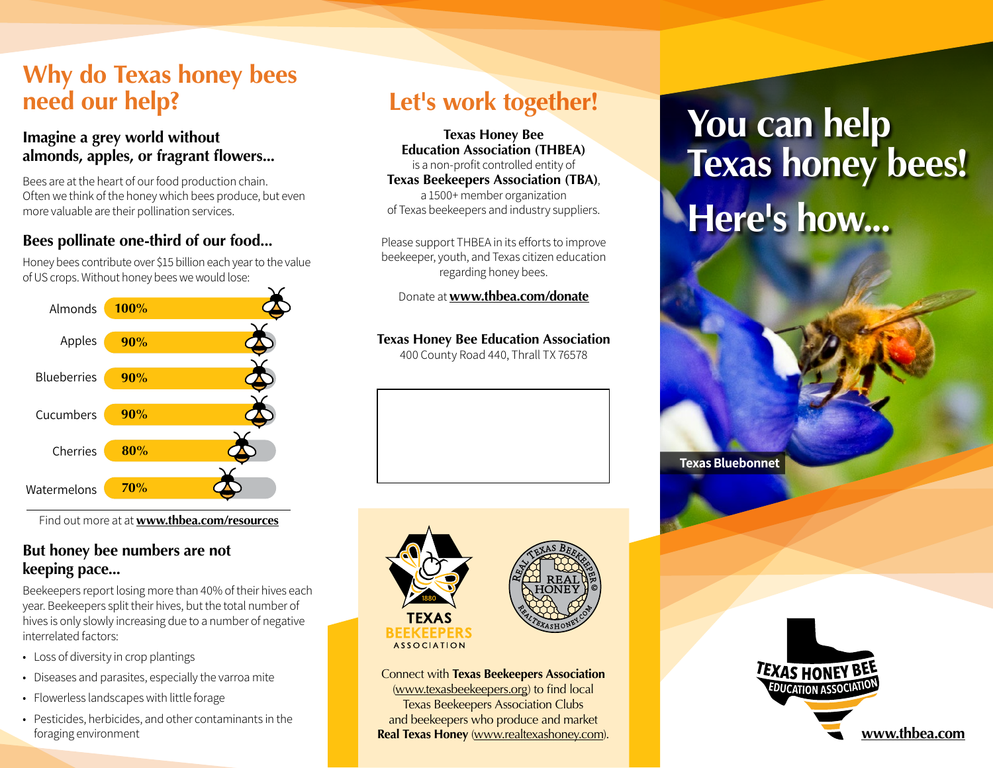### **Why do Texas honey bees need our help?**

#### **Imagine a grey world without almonds, apples, or fragrant flowers...**

Bees are at the heart of our food production chain. Often we think of the honey which bees produce, but even more valuable are their pollination services.

#### **Bees pollinate one-third of our food...**

Honey bees contribute over \$15 billion each year to the value of US crops. Without honey bees we would lose:



Find out more at at **[www.thbea.com/](http://www.thbea.com/resources)resources**

#### **But honey bee numbers are not keeping pace...**

Beekeepers report losing more than 40% of their hives each year. Beekeepers split their hives, but the total number of hives is only slowly increasing due to a number of negative interrelated factors:

- Loss of diversity in crop plantings
- Diseases and parasites, especially the varroa mite
- Flowerless landscapes with little forage
- Pesticides, herbicides, and other contaminants in the foraging environment **[www.thbea.com](http://www.thbea.com) Real Texas Honey** ([www.realtexashoney.com](http://www.realtexashoney.com)). Notice the state of the state of the state of the state of the state of the state of the state of the state of the state of the state of the

# **Let's work together!**

**Texas Honey Bee Education Association (THBEA)** is a non-profit controlled entity of **Texas Beekeepers Association (TBA)**, a 1500+ member organization of Texas beekeepers and industry suppliers.

Please support THBEA in its efforts to improve beekeeper, youth, and Texas citizen education regarding honey bees.

Donate at **[www.thbea.com/donate](http://www.thbea.com/donate)**

#### **Texas Honey Bee Education Association**

400 County Road 440, Thrall TX 76578



Connect with **Texas Beekeepers Association** [\(www.texasbeekeepers.org](http://www.texasbeekeepers.org)) to find local Texas Beekeepers Association Clubs and beekeepers who produce and market

# **You can help Texas honey bees! Here's how...**